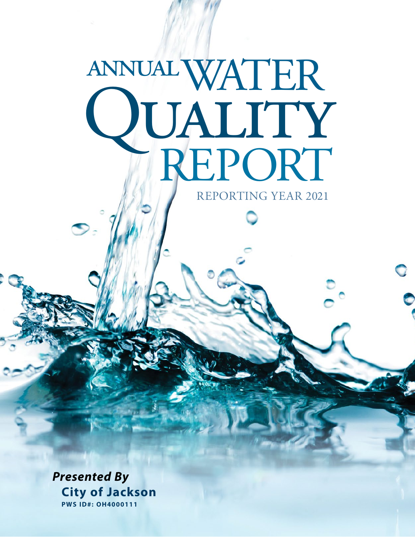# WATER **JUALITY**<br>HREPORT annual REPORTING YEAR 2021

*Presented By* **City of Jackson PWS ID#: OH4000111**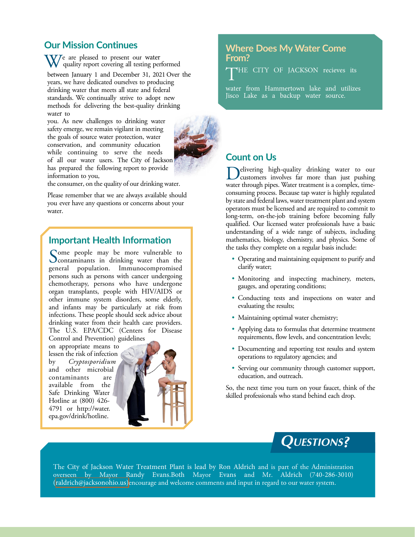# **Our Mission Continues**

We are pleased to present our water quality report covering all testing performed

between January 1 and December 31, 2021 Over the years, we have dedicated ourselves to producing drinking water that meets all state and federal standards. We continually strive to adopt new methods for delivering the best-quality drinking water to

you. As new challenges to drinking water safety emerge, we remain vigilant in meeting the goals of source water protection, water conservation, and community education while continuing to serve the needs of all our water users. The City of Jackson has prepared the following report to provide information to you,



the consumer, on the quality of our drinking water.

Please remember that we are always available should you ever have any questions or concerns about your water.

# **Important Health Information**

Some people may be more vulnerable to<br>contaminants in drinking water than the<br>contact and approximately general population. Immunocompromised persons such as persons with cancer undergoing chemotherapy, persons who have undergone organ transplants, people with HIV/AIDS or other immune system disorders, some elderly, and infants may be particularly at risk from infections. These people should seek advice about drinking water from their health care providers. The U.S. EPA/CDC (Centers for Disease Control and Prevention) guidelines

on appropriate means to lessen the risk of infection by *Cryptosporidium* and other microbial contaminants are available from the Safe Drinking Water Hotline at (800) 426- 4791 or [http://water.](http://water.epa.gov/drink/hotline) [epa.gov/drink/hotline.](http://water.epa.gov/drink/hotline)



# **Where Does My Water Come From?**

T HE CITY OF JACKSON recieves its

water from Hammertown lake and utilizes Jisco Lake as a backup water source.

# **Count on Us**

elivering high-quality drinking water to our customers involves far more than just pushing water through pipes. Water treatment is a complex, timeconsuming process. Because tap water is highly regulated by state and federal laws, water treatment plant and system operators must be licensed and are required to commit to long-term, on-the-job training before becoming fully qualified. Our licensed water professionals have a basic understanding of a wide range of subjects, including mathematics, biology, chemistry, and physics. Some of the tasks they complete on a regular basis include:

- Operating and maintaining equipment to purify and clarify water;
- Monitoring and inspecting machinery, meters, gauges, and operating conditions;
- Conducting tests and inspections on water and evaluating the results;
- Maintaining optimal water chemistry;
- Applying data to formulas that determine treatment requirements, flow levels, and concentration levels;
- Documenting and reporting test results and system operations to regulatory agencies; and
- Serving our community through customer support, education, and outreach.

So, the next time you turn on your faucet, think of the skilled professionals who stand behind each drop.

# **Questions?**

The City of Jackson Water Treatment Plant is lead by Ron Aldrich and is part of the Administration overseen by Mayor Randy Evans.Both Mayor Evans and Mr. Aldrich (740-286-3010) [\(raldrich@jacksonohio.us\)](www.jacksonohio.us)encourage and welcome comments and input in regard to our water system.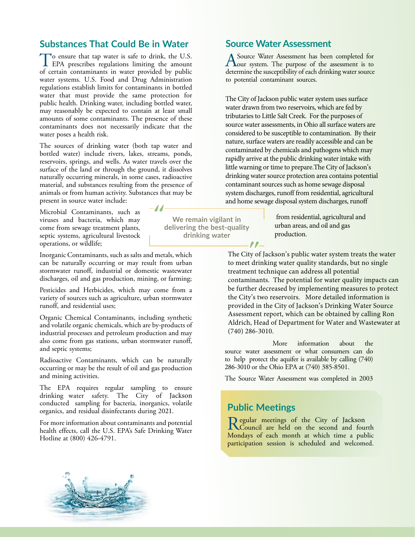# **Substances That Could Be in Water**

To ensure that tap water is safe to drink, the U.S. EPA prescribes regulations limiting the amount of certain contaminants in water provided by public water systems. U.S. Food and Drug Administration regulations establish limits for contaminants in bottled water that must provide the same protection for public health. Drinking water, including bottled water, may reasonably be expected to contain at least small amounts of some contaminants. The presence of these contaminants does not necessarily indicate that the water poses a health risk.

The sources of drinking water (both tap water and bottled water) include rivers, lakes, streams, ponds, reservoirs, springs, and wells. As water travels over the surface of the land or through the ground, it dissolves naturally occurring minerals, in some cases, radioactive material, and substances resulting from the presence of animals or from human activity. Substances that may be present in source water include:

-11-

Microbial Contaminants, such as viruses and bacteria, which may come from sewage treatment plants, septic systems, agricultural livestock operations, or wildlife;

Inorganic Contaminants, such as salts and metals, which can be naturally occurring or may result from urban stormwater runoff, industrial or domestic wastewater discharges, oil and gas production, mining, or farming;

Pesticides and Herbicides, which may come from a variety of sources such as agriculture, urban stormwater runoff, and residential uses;

Organic Chemical Contaminants, including synthetic and volatile organic chemicals, which are by-products of industrial processes and petroleum production and may also come from gas stations, urban stormwater runoff, and septic systems;

Radioactive Contaminants, which can be naturally occurring or may be the result of oil and gas production and mining activities.

The EPA requires regular sampling to ensure drinking water safety. The City of Jackson conducted sampling for bacteria, inorganics, volatile organics, and residual disinfectants during 2021.

For more information about contaminants and potential health effects, call the U.S. EPA's Safe Drinking Water Hotline at (800) 426-4791.

**We remain vigilant in delivering the best-quality drinking water**

# **Source Water Assessment**

A Source Water Assessment has been completed for<br>
our system. The purpose of the assessment is to<br>
determine the automatic line of each dripline water serves determine the susceptibility of each drinking water source to potential contaminant sources.

The City of Jackson public water system uses surface water drawn from two reservoirs, which are fed by tributaries to Little Salt Creek. For the purposes of source water assessments, in Ohio all surface waters are considered to be susceptible to contamination. By their nature, surface waters are readily accessible and can be contaminated by chemicals and pathogens which may rapidly arrive at the public drinking water intake with little warning or time to prepare.The City of Jackson's drinking water source protection area contains potential contaminant sources such as home sewage disposal system discharges, runoff from residential, agricultural and home sewage disposal system discharges, runoff

> from residential, agricultural and urban areas, and oil and gas production.

The City of Jackson's public water system treats the water to meet drinking water quality standards, but no single treatment technique can address all potential contaminants. The potential for water quality impacts can be further decreased by implementing measures to protect the City's two reservoirs. More detailed information is provided in the City of Jackson's Drinking Water Source Assessment report, which can be obtained by calling Ron Aldrich, Head of Department for Water and Wastewater at (740) 286-3010.

More information about the source water assessment or what consumers can do to help protect the aquifer is available by calling (740) 286-3010 or the Ohio EPA at (740) 385-8501.

The Source Water Assessment was completed in 2003

## **Public Meetings**

 $\ell$ 

Regular meetings of the City of Jackson<br>Council are held on the second and fou Council are held on the second and fourth Mondays of each month at which time a public participation session is scheduled and welcomed.

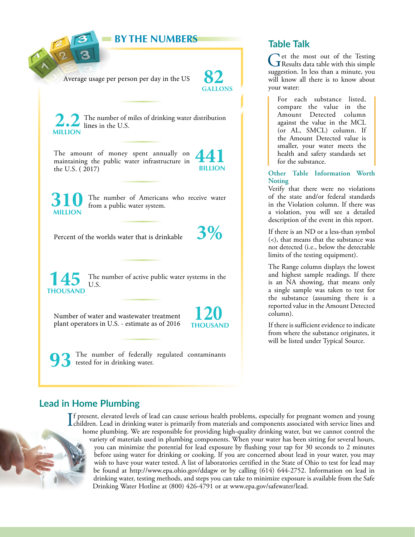**BY THE NUMBERS Table Talk**

Average usage per person per day in the US



The number of miles of drinking water distribution lines in the U.S. **MILLION**

The amount of money spent annually on maintaining the public water infrastructure in the U.S. ( 2017)

**441 BILLION**

**MILLION**

The number of Americans who receive water from a public water system.

Percent of the worlds water that is drinkable **3%** 

**THOUSAND**

The number of active public water systems in the **145** U.S.

Number of water and wastewater treatment plant operators in U.S. - estimate as of 2016 **120** 

The number of federally regulated contaminants tested for in drinking water.

Get the most out of the Testing<br>
Results data table with this simple<br>
were results as the continuous suggestion. In less than a minute, you will know all there is to know about your water:

For each substance listed, compare the value in the Amount Detected column against the value in the MCL (or AL, SMCL) column. If the Amount Detected value is smaller, your water meets the health and safety standards set for the substance.

### **Other Table Information Worth Noting**

Verify that there were no violations of the state and/or federal standards in the Violation column. If there was a violation, you will see a detailed description of the event in this report.

If there is an ND or a less-than symbol (<), that means that the substance was not detected (i.e., below the detectable limits of the testing equipment).

The Range column displays the lowest and highest sample readings. If there is an NA showing, that means only a single sample was taken to test for the substance (assuming there is a reported value in the Amount Detected column).

If there is sufficient evidence to indicate from where the substance originates, it will be listed under Typical Source.

# **Lead in Home Plumbing**

If present, elevated levels of lead can cause serious health problems, especially for pregnant women and young<br>children. Lead in drinking water is primarily from materials and components associated with service lines and<br>c f present, elevated levels of lead can cause serious health problems, especially for pregnant women and young home plumbing. We are responsible for providing high-quality drinking water, but we cannot control the variety of materials used in plumbing components. When your water has been sitting for several hours, you can minimize the potential for lead exposure by flushing your tap for 30 seconds to 2 minutes before using water for drinking or cooking. If you are concerned about lead in your water, you may wish to have your water tested. A list of laboratories certified in the State of Ohio to test for lead may be found at <http://www.epa.ohio.gov/ddagw>or by calling (614) 644-2752. Information on lead in drinking water, testing methods, and steps you can take to minimize exposure is available from the Safe Drinking Water Hotline at (800) 426-4791 or at [www.epa.gov/safewater/lead.](http://www.epa.gov/safewater/lead)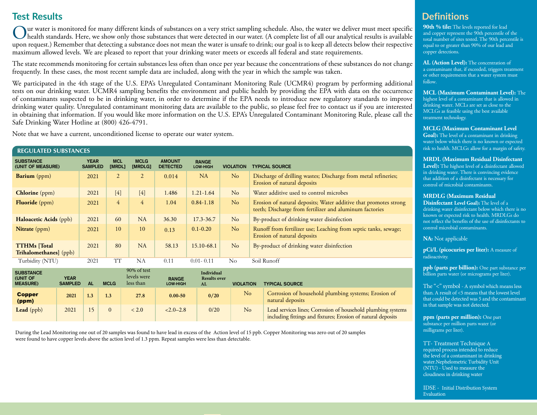# **Test Results**

Our water is monitored for many different kinds of substances on a very strict sampling schedule. Also, the water we deliver must meet specific<br>health standards. Here, we show only those substances that were detected in ou upon request.) Remember that detecting a substance does not mean the water is unsafe to drink; our goal is to keep all detects below their respective maximum allowed levels. We are pleased to report that your drinking water meets or exceeds all federal and state requirements.

The state recommends monitoring for certain substances less often than once per year because the concentrations of these substances do not change frequently. In these cases, the most recent sample data are included, along with the year in which the sample was taken.

We participated in the 4th stage of the U.S. EPA's Unregulated Contaminant Monitoring Rule (UCMR4) program by performing additional tests on our drinking water. UCMR4 sampling benefits the environment and public health by providing the EPA with data on the occurrence of contaminants suspected to be in drinking water, in order to determine if the EPA needs to introduce new regulatory standards to improve drinking water quality. Unregulated contaminant monitoring data are available to the public, so please feel free to contact us if you are interested in obtaining that information. If you would like more information on the U.S. EPA's Unregulated Contaminant Monitoring Rule, please call the Safe Drinking Water Hotline at (800) 426-4791.

Note that we have a current, unconditioned license to operate our water system.

#### **REGULATED SUBSTANCES**

| <b>SUBSTANCE</b><br>(UNIT OF MEASURE)                | <b>YEAR</b><br><b>SAMPLED</b> | <b>MCL</b><br>[MRDL] | <b>MCLG</b><br>[MRDLG] | <b>AMOUNT</b><br><b>DETECTED</b> | <b>RANGE</b><br><b>LOW-HIGH</b> | <b>VIOLATION</b> | <b>TYPICAL SOURCE</b>                                                                                                       |
|------------------------------------------------------|-------------------------------|----------------------|------------------------|----------------------------------|---------------------------------|------------------|-----------------------------------------------------------------------------------------------------------------------------|
| <b>Barium</b> (ppm)                                  | 2021                          | $\overline{2}$       | $\overline{2}$         | 0.014                            | NA                              | No               | Discharge of drilling wastes; Discharge from metal refineries;<br>Erosion of natural deposits                               |
| <b>Chlorine</b> (ppm)                                | 2021                          | $[4]$                | $[4]$                  | 1.486                            | $1.21 - 1.64$                   | No               | Water additive used to control microbes                                                                                     |
| <b>Fluoride</b> (ppm)                                | 2021                          | 4                    | $\overline{4}$         | 1.04                             | $0.84 - 1.18$                   | No               | Erosion of natural deposits; Water additive that promotes strong<br>teeth; Discharge from fertilizer and aluminum factories |
| Haloacetic Acids (ppb)                               | 2021                          | 60                   | <b>NA</b>              | 36.30                            | $17.3 - 36.7$                   | No               | By-product of drinking water disinfection                                                                                   |
| <b>Nitrate</b> (ppm)                                 | 2021                          | 10                   | 10                     | 0.13                             | $0.1 - 0.20$                    | No               | Runoff from fertilizer use; Leaching from septic tanks, sewage;<br>Erosion of natural deposits                              |
| <b>TTHMs</b> [Total]<br><b>Trihalomethanes</b> (ppb) | 2021                          | 80                   | NA                     | 58.13                            | 15.10-68.1                      | No               | By-product of drinking water disinfection                                                                                   |
| Turbidity (NTU)                                      | 2021                          | TT                   | NA                     | 0.11                             | $0.01 - 0.11$                   | $\rm No$         | Soil Runoff                                                                                                                 |

| <b>SUBSTANCE</b><br>(UNIT OF<br><b>MEASURE)</b> | <b>YEAR</b><br><b>SAMPLED</b> | ΑL  | <b>MCLG</b>      | 90% of test<br>levels were<br>less than | <b>RANGE</b><br>LOW-HIGH | Individual<br><b>Results over</b><br>AL | <b>VIOLATION</b> | <b>TYPICAL SOURCE</b>                                                                                                        |
|-------------------------------------------------|-------------------------------|-----|------------------|-----------------------------------------|--------------------------|-----------------------------------------|------------------|------------------------------------------------------------------------------------------------------------------------------|
| <b>Copper</b><br>(ppm)                          | 2021                          | 1.3 | 1.3 <sub>1</sub> | 27.8                                    | $0.00 - 50$              | 0/20                                    | No               | Corrosion of household plumbing systems; Erosion of<br>natural deposits                                                      |
| Lead $(ppb)$                                    | 2021                          |     |                  | < 2.0                                   | $< 2.0 - 2.8$            | 0/20                                    | No               | Lead services lines; Corrosion of household plumbing systems<br>including fittings and fixtures; Erosion of natural deposits |

During the Lead Monitoring one out of 20 samples was found to have lead in excess of the Action level of 15 ppb. Copper Monitoring was zero out of 20 samples were found to have copper levels above the action level of 1.3 ppm. Repeat samples were less than detectable.

# **Definitions**

**90th % tile:** The levels reported for lead and copper represent the 90th percentile of the total number of sites tested. The 90th percentile is equal to or greater than 90% of our lead and copper detections.

**AL (Action Level):** The concentration of a contaminant that, if exceeded, triggers treatment or other requirements that a water system must follow.

**MCL (Maximum Contaminant Level):** The highest level of a contaminant that is allowed in drinking water. MCLs are set as close to the MCLGs as feasible using the best available treatment technology.

#### **MCLG (Maximum Contaminant Level**

**Goal):** The level of a contaminant in drinking water below which there is no known or expected risk to health. MCLGs allow for a margin of safety.

#### **MRDL (Maximum Residual Disinfectant**

**Level):** The highest level of a disinfectant allowed in drinking water. There is convincing evidence that addition of a disinfectant is necessary for control of microbial contaminants.

#### **MRDLG (Maximum Residual**

**Disinfectant Level Goal):** The level of a drinking water disinfectant below which there is no known or expected risk to health. MRDLGs do not reflect the benefits of the use of disinfectants to control microbial contaminants.

#### **NA:** Not applicable

**pCi/L (picocuries per liter):** A measure of radioactivity.

**ppb (parts per billion):** One part substance per billion parts water (or micrograms per liter).

The "<" symbol - A symbol which means less than. A result of <5 means that the lowest level that could be detected was 5 and the contaminant in that sample was not detected.

ppm (parts per million): One part substance per million parts water (or milligrams per liter).

TT- Treatment Technique A required process intended to reduce the level of a contaminant in drinking water.Nephelometric Turbidity Unit (NTU) - Used to measure the cloudiness in drinking water

IDSE - Initial Distribution System Evaluation